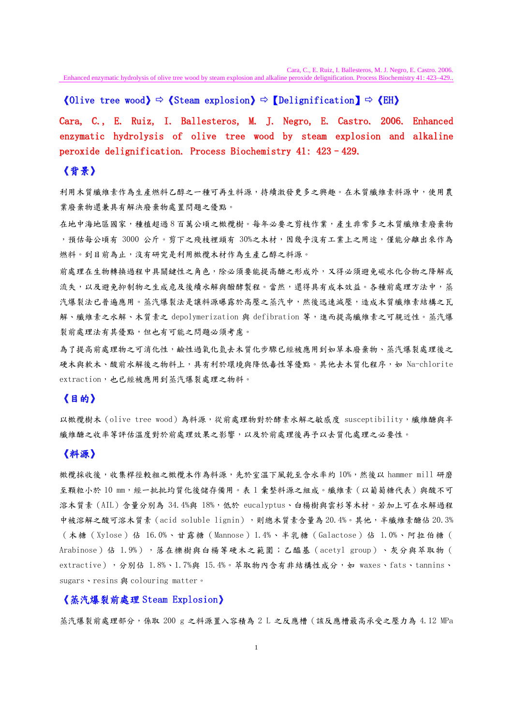#### 《Olive tree wood》  $\Leftrightarrow$  《Steam explosion》  $\Leftrightarrow$  【Delignification】  $\Leftrightarrow$  《EH》

Cara, C., E. Ruiz, I. Ballesteros, M. J. Negro, E. Castro. 2006. Enhanced enzymatic hydrolysis of olive tree wood by steam explosion and alkaline peroxide delignification. Process Biochemistry 41: 423–429.

### 《背景》

利用木質纖維素作為生產燃料乙醇之一種可再生料源,持續激發更多之興趣。在木質纖維素料源中,使用農 業廢棄物還兼具有解決廢棄物處置問題之優點。

在地中海地區國家,種植超過 8 百萬公頃之橄欖樹。每年必要之剪枝作業,產生非常多之木質纖維素廢棄物 ,預估每公頃有 3000 公斤。剪下之殘枝裡頭有 30%之木材,因幾乎沒有工業上之用途,僅能分離出來作為 燃料。到目前為止,沒有研究是利用橄欖木材作為生產乙醇之料源。

前處理在生物轉換過程中具關鍵性之角色,除必須要能提高醣之形成外,又得必須避免碳水化合物之降解或 流失,以及避免抑制物之生成危及後續水解與醱酵製程。當然,還得具有成本效益。各種前處理方法中,蒸 汽爆裂法已普遍應用。蒸汽爆裂法是讓料源曝露於高壓之蒸汽中,然後迅速減壓,造成木質纖維素結構之瓦 解、纖維素之水解、木質素之 depolymerization 與 defibration 等,進而提高纖維素之可親近性。蒸汽爆 裂前處理法有其優點,但也有可能之問題必須考慮。

為了提高前處理物之可消化性,鹼性過氧化氫去木質化步驟已經被應用到如草本廢棄物、蒸汽爆裂處理後之 硬木與軟木、酸前水解後之物料上,具有利於環境與降低毒性等優點。其他去木質化程序,如 Na-chlorite extraction,也已經被應用到蒸汽爆裂處理之物料。

### 《目的》

以橄欖樹木 (olive tree wood)為料源,從前處理物對於酵素水解之敏感度 susceptibility,纖維醣與半 織維醣之收率等評估溫度對於前處理效果之影響,以及於前處理後再予以去質化處理之必要性。

# 《料源》

橄欖採收後,收集桿徑較粗之橄欖木作為料源,先於室溫下風乾至含水率約 10%,然後以 hammer mill 研磨 至顆粒小於 10 mm,經一批批均質化後儲存備用。表 1 彙整料源之組成。纖維素(以葡萄糖代表)與酸不可 溶木質素(AIL)含量分別為 34.4%與 18%,低於 eucalyptus、白楊樹與雲杉等木材。若加上可在水解過程 中被溶解之酸可溶木質素(acid soluble lignin),則總木質素含量為 20.4%。其他,半纖維素醣佔 20.3% (木糖(Xylose)佔 16.0%、甘露糖(Mannose)1.4%、半乳糖(Galactose)佔 1.0%、阿拉伯糖( Arabinose)佔 1.9%),落在櫟樹與白楊等硬木之範圍;乙醯基(acetyl group)、灰分與萃取物( extractive),分別佔 1.8%、1.7%與 15.4%。萃取物內含有非結構性成分,如 waxes、fats、tannins、 sugars、resins 與 colouring matter。

#### 《蒸汽爆裂前處理 Steam Explosion》

蒸汽爆裂前處理部分,係取 200 g 之料源置入容積為 2 L 之反應槽 ( 該反應槽最高承受之壓力為 4.12 MPa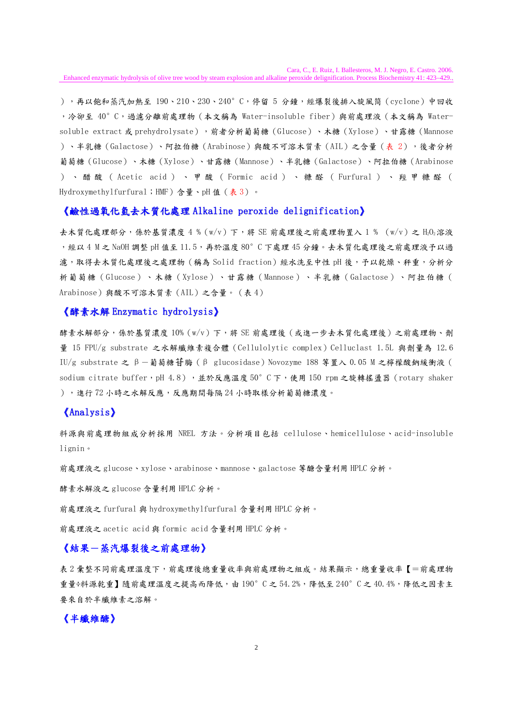Cara, C., E. Ruiz, I. Ballesteros, M. J. Negro, E. Castro. 2006.

Enhanced enzymatic hydrolysis of olive tree wood by steam explosion and alkaline peroxide delignification. Process Biochemistry 41: 423–429..

),再以飽和蒸汽加熱至 190、210、230、240°C,停留 5 分鐘,經爆裂後排入旋風筒 (cyclone)中回收 ,冷卻至 40°C,過濾分離前處理物(本文稱為 Water-insoluble fiber)與前處理液(本文稱為 Watersoluble extract 或 prehydrolysate),前者分析葡萄糖(Glucose)、木糖(Xylose)、甘露糖(Mannose )、半乳糖(Galactose)、阿拉伯糖(Arabinose)與酸不可溶木質素(AIL)之含量(表 2),後者分析 葡萄糖(Glucose)、木糖(Xylose)、甘露糖(Mannose)、半乳糖(Galactose)、阿拉伯糖(Arabinose )、醋酸( Acetic acid )、甲酸( Formic acid )、糠醛( Furfural )、羥甲糠醛( Hydroxymethylfurfural;HMF)含量、pH 值 (表 3)。

#### 《鹼性過氧化氫去木質化處理 Alkaline peroxide delignification》

去木質化處理部分,係於基質濃度 4 % (w/v) 下,將 SE 前處理後之前處理物置入 1 % (w/v) 之 H02溶液 ,經以 4 M 之 NaOH 調整 pH 值至 11.5,再於溫度 80°C 下處理 45 分鐘。去木質化處理後之前處理液予以過 濾,取得去木質化處理後之處理物 (稱為 Solid fraction) 經水洗至中性 pH 後,予以乾燥、秤重,分析分 析葡萄糖(Glucose)、木糖(Xylose)、甘露糖(Mannose)、半乳糖(Galactose)、阿拉伯糖( Arabinose)與酸不可溶木質素(AIL)之含量。(表 4)

#### 《酵素水解 Enzymatic hydrolysis》

酵素水解部分,係於基質濃度 10% (w/v)下,將 SE 前處理後 (或進一步去木質化處理後)之前處理物、劑 量 15 FPU/g substrate 之水解纖維素複合體 (Cellulolytic complex) Celluclast 1.5L 與劑量為 12.6 IU/g substrate 之 β-葡萄糖苷脢(β glucosidase)Novozyme 188 等置入 0.05 M 之檸檬酸鈉緩衝液( sodium citrate buffer,pH 4.8),並於反應溫度 50°C 下,使用 150 rpm 之旋轉搖盪器 (rotary shaker ),進行 72 小時之水解反應,反應期間每隔 24 小時取樣分析葡萄糖濃度。

### 《Analysis》

料源與前處理物組成分析採用 NREL 方法。分析項目包括 cellulose、hemicellulose、acid-insoluble lignin。

前處理液之 glucose、xylose、arabinose、mannose、galactose 等醣含量利用 HPLC 分析。

酵素水解液之 glucose 含量利用 HPLC 分析。

前處理液之 furfural 與 hydroxymethylfurfural 含量利用 HPLC 分析。

前處理液之 acetic acid 與 formic acid 含量利用 HPLC 分析。

# 《結果-蒸汽爆裂後之前處理物》

表 2 彙整不同前處理溫度下,前處理後總重量收率與前處理物之組成。結果顯示,總重量收率【=前處理物 重量÷料源乾重】隨前處理溫度之提高而降低,由 190°C 之 54.2%,降低至 240°C 之 40.4%,降低之因素主 要來自於半纖維素之溶解。

# 《半纖維醣》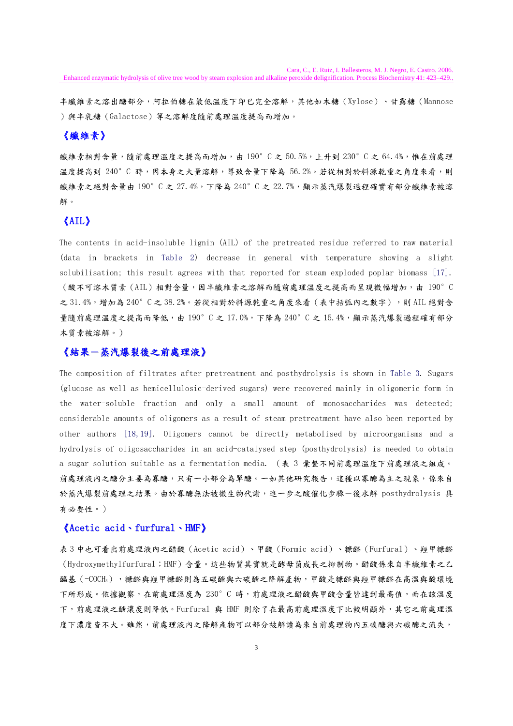半纖維素之溶出醣部分,阿拉伯糖在最低溫度下即已完全溶解,其他如木糖(Xylose)、甘露糖(Mannose )與半乳糖(Galactose)等之溶解度隨前處理溫度提高而增加。

# 《纖維素》

纖維素相對含量,隨前處理溫度之提高而增加,由 190°C 之 50.5%, 上升到 230°C 之 64.4%,惟在前處理 溫度提高到 240°C 時,因本身之大量溶解,導致含量下降為 56.2%。若從相對於料源乾重之角度來看,則 纖維素之絕對含量由 190°C 之 27.4%,下降為 240°C 之 22.7%, 顯示蒸汽爆裂過程確實有部分纖維素被溶 解。

### 《AIL》

The contents in acid-insoluble lignin (AIL) of the pretreated residue referred to raw material (data in brackets in Table 2) decrease in general with temperature showing a slight solubilisation; this result agrees with that reported for steam exploded poplar biomass [17]. (酸不可溶木質素(AIL)相對含量,因半纖維素之溶解而隨前處理溫度之提高而呈現微幅增加,由 190°C 之 31.4%,增加為 240°C之 38.2%。若從相對於料源乾重之角度來看 (表中括弧內之數字),則 AIL 絕對含 量隨前處理溫度之提高而降低,由 190°C 之 17.0%,下降為 240°C 之 15.4%,顯示蒸汽爆裂過程確有部分 木質素被溶解。)

### 《結果-蒸汽爆裂後之前處理液》

The composition of filtrates after pretreatment and posthydrolysis is shown in Table 3. Sugars (glucose as well as hemicellulosic-derived sugars) were recovered mainly in oligomeric form in the water-soluble fraction and only a small amount of monosaccharides was detected; considerable amounts of oligomers as a result of steam pretreatment have also been reported by other authors [18,19]. Oligomers cannot be directly metabolised by microorganisms and a hydrolysis of oligosaccharides in an acid-catalysed step (posthydrolysis) is needed to obtain a sugar solution suitable as a fermentation media. (表 3 彙整不同前處理溫度下前處理液之組成。 前處理液內之醣分主要為寡醣,只有一小部分為單醣。一如其他研究報告,這種以寡醣為主之現象,係來自 於蒸汽爆裂前處理之結果。由於寡醣無法被微生物代謝,進一步之酸催化步驟一後水解 posthydrolysis 具 有必要性。)

### 《Acetic acid、furfural、HMF》

表 3 中也可看出前處理液內之醋酸(Acetic acid)、甲酸(Formic acid)、糠醛(Furfural)、羥甲糠醛 (Hydroxymethylfurfural;HMF)含量。這些物質其實就是酵母菌成長之抑制物。醋酸係來自半纖維素之乙 醯基(-COCH<sub>3</sub>),糖醛與羥甲糠醛則為五碳醣與六碳醣之降解產物,甲酸是糠醛與經甲糠醛在高溫與酸環境 下所形成。依據觀察,在前處理溫度為 230°C 時,前處理液之醋酸與甲酸含量皆達到最高值,而在該溫度 下,前處理液之醣濃度則降低。Furfural 與 HMF 則除了在最高前處理溫度下比較明顯外,其它之前處理溫 度下濃度皆不大。雖然,前處理液內之降解產物可以部分被解讀為來自前處理物內五碳醣與六碳醣之流失,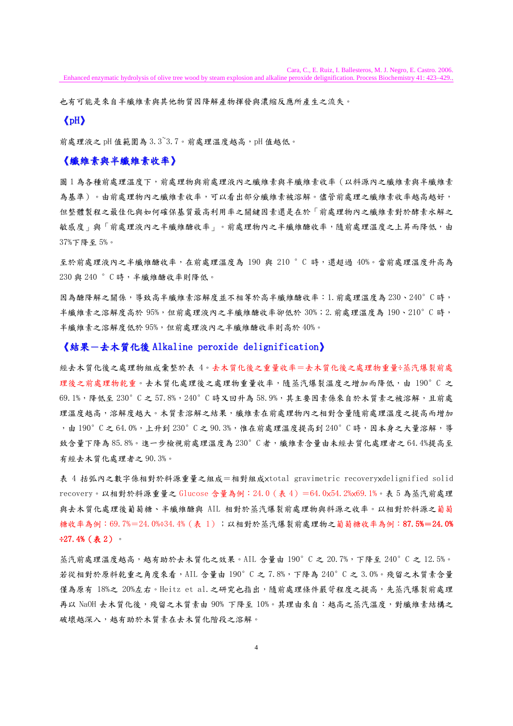也有可能是來自半纖維素與其他物質因降解產物揮發與濃縮反應所產生之流失。

### 《pH》

前處理液之 pH 值範圍為 3.3~3.7。前處理溫度越高,pH 值越低。

### 《纖維素與半纖維素收率》

圖 1 為各種前處理溫度下,前處理物與前處理液內之纖維素與半纖維素收率 (以料源內之纖維素與半纖維素 為基準)。由前處理物內之纖維素收率,可以看出部分纖維素被溶解。儘管前處理之纖維素收率越高越好, 但整體製程之最佳化與如何確保基質最高利用率之關鍵因素還是在於「前處理物內之纖維素對於酵素水解之 敏感度」與「前處理液內之半纖度理物內之半纖維醣收率,隨前處理溫度之上昇而降低,由 37%下降至 5%。

至於前處理液內之半纖維醣收率,在前處理溫度為 190 與 210 °C 時,還超過 40%。當前處理溫度升高為 230 與 240 °C 時,半纖維醣收率則降低。

因為醣降解之關係,導致高半纖維素溶解度並不相等於高半纖維醣收率:1.前處理溫度為 230、240°C 時, 半纖維素之溶解度高於 95%,但前處理液內之半纖維醣收率卻低於 30%;2.前處理溫度為 190、210°C 時, 半纖維素之溶解度低於 95%,但前處理液內之半纖維醣收率則高於 40%。

#### 《結果-去木質化後 Alkaline peroxide delignification》

經去木質化後之處理物組成彙整於表 4。去木質化後之重量收率=去木質化後之處理物重量÷蒸汽爆裂前處 理後之前處理物乾重。去木質化處理後之處理物重量收率,隨蒸汽爆裂溫度之增加而降低,由 190°C 之 69.1%,降低至 230°C 之 57.8%,240°C 時又回升為 58.9%,其主要因素係來自於木質素之被溶解,且前處 理溫度越高,溶解度越大。木質素溶解之結果,纖維素在前處理物內之相對含量隨前處理溫度之提高而增加 ,由 190°C 之 64.0%,上升到 230°C 之 90.3%,惟在前處理溫度提高到 240°C 時,因本身之大量溶解,導 致含量下降為 85.8%。進一步檢視前處理溫度為 230°C者,纖維素含量由未經去質化處理者之 64.4%提高至 有經去木質化處理者之 90.3%。

表 4 括弧內之數字係相對於料源重量之組成=相對組成×total gravimetric recovery×delignified solid recovery。以相對於料源重量之 Glucose 含量為例:24.0(表 4)=64.0×54.2%×69.1%。表 5 為蒸汽前處理 與去木質化處理後葡萄糖、半纖維醣與 AIL 相對於蒸汽爆裂前處理物與料源之收率。以相對於料源之葡萄 糖收率為例:69.7%=24.0%÷34.4%(表 1);以相對於蒸汽爆裂前處理物之葡萄糖收率為例:87.5%=24.0% ÷27.4%(表 2)。

蒸汽前處理溫度越高,越有助於去木質化之效果。AIL 含量由 190°C 之 20.7%,下降至 240°C 之 12.5%。 若從相對於原料乾重之角度來看,AIL 含量由 190°C 之 7.8%,下降為 240°C 之 3.0%。殘留之木質素含量 僅為原有 18%之 20%左右。Heitz et al.之研究也指出,隨前處理條件嚴苛程度之提高,先蒸汽爆裂前處理 再以 NaOH 去木質化後,殘留之木質素由 90% 下降至 10%。其理由來自:越高之蒸汽溫度,對纖維素結構之 破壞越深入,越有助於木質素在去木質化階段之溶解。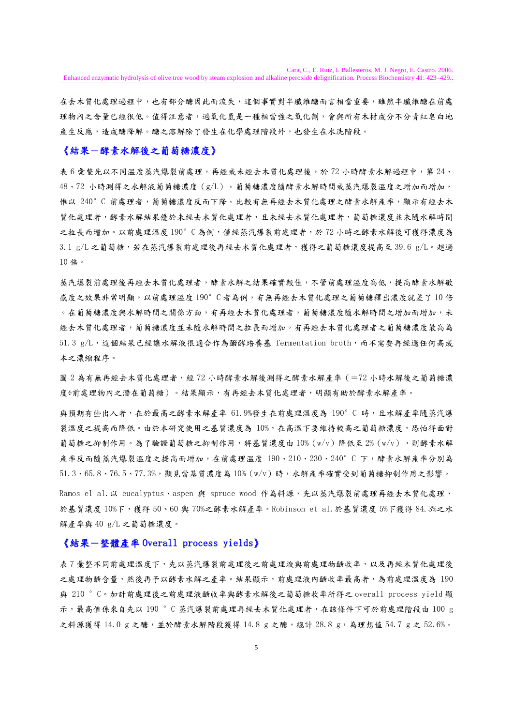Cara, C., E. Ruiz, I. Ballesteros, M. J. Negro, E. Castro. 2006.

Enhanced enzymatic hydrolysis of olive tree wood by steam explosion and alkaline peroxide delignification. Process Biochemistry 41: 423–429..

在去木質化處理過程中,也有部分醣因此而流失,這個事實對半纖維醣而言相當重要,雖然半纖維醣在前處 理物內之含量已經很低。值得注意者,過氧化氫是一種相當強之氧化劑,會與所有木材成分不分青紅皂白地 產生反應,造成醣降解。醣之溶解除了發生在化學處理階段外,也發生在水洗階段。

### 《結果-酵素水解後之葡萄糖濃度》

表 6 彙整先以不同溫度蒸汽爆裂前處理,再經或未經去木質化處理後,於 72 小時酵素水解過程中,第 24、 48、72 小時測得之水解液葡萄糖濃度(g/L)。葡萄糖濃度隨酵素水解時間或蒸汽爆裂溫度之增加而增加, 惟以 240°C 前處理者,葡萄糖濃度反而下降。比較有無再經去木質化處理之酵素水解產率,顯示有經去木 質化處理者,酵素木解結果優於未經去木質化處理者,且未經去木質化處理者,葡萄糖濃度並未隨水解時間 之拉長而增加。以前處理溫度 190°C為例,僅經蒸汽爆裂前處理者,於 72 小時之酵素水解後可獲得濃度為 3.1 g/L 之葡萄糖,若在蒸汽爆裂前處理後再經去木質化處理者,獲得之葡萄糖濃度提高至 39.6 g/L。超過 10位。

蒸汽爆裂前處理後再經去木質化處理者,酵素水解之結果確實較佳,不管前處理溫度高低,提高酵素水解敏 感度之效果非常明顯,以前處理溫度 190°C 者為例,有無再經去木質化處理之葡萄糖釋出濃度就差了 10 倍 。在葡萄糖濃度與水解時間之關係方面,有再經去木質化處理者,葡萄糖濃度隨水解時間之增加而增加,未 經去木質化處理者,葡萄糖濃度並未隨水解時間之拉長而增加。有再經去木質化處理者之葡萄糖濃度最高為  $51.3$  g/L,這個結果已經讓水解液很適合作為醱酵培養基 fermentation broth,而不需要再經過任何高成 本之濃縮程序。

圖 2 為有無再經去木質化處理者,經 72 小時酵素水解後測得之酵素水解產率(=72 小時水解後之葡萄糖濃 度÷前處理物內之潛在葡萄糖)。結果顯示,有再經去木質化處理者,明顯有助於酵素水解產率。

與預期有些出入者,在於最高之酵素水解產率 61.9%發生在前處理溫度為 190°C 時,且水解產率隨蒸汽爆 裂溫度之提高而降低。由於本研究使用之基質濃度為 10%,在高溫下要維持較高之葡萄糖濃度,恐怕得面對 葡萄糖之抑制作用。為了驗證葡萄糖之抑制作用,將基質濃度由 10% (w/v) 降低至 2% (w/v),則酵素水解 產率反而隨蒸汽爆裂溫度之提高而增加,在前處理溫度 190、210、230、240°C 下,酵素水解產率分別為 51.3、65.8、76.5、77.3%,顯見當基質濃度為 10%(w/v)時,水解產率確實受到葡萄糖抑制作用之影響。

Ramos el al. 以 eucalyptus、aspen 與 spruce wood 作為料源,先以蒸汽爆裂前處理再經去木質化處理, 於基質濃度 10%下,獲得 50、60 與 70%之酵素水解產率。Robinson et al.於基質濃度 5%下獲得 84.3%之水 解產率與 40 g/L 之葡萄糖濃度。

### 《結果-整體產率 Overall process yields》

表7彙整不同前處理溫度下,先以蒸汽爆裂前處理後之前處理液與前處理物醣收率,以及再經木質化處理後 之處理物醣含量,然後再予以酵素水解之產率。結果顯示,前處理液內醣收率最高者,為前處理溫度為 190 與 210 °C。加計前處理後之前處理液醣收率與酵素水解後之葡萄糖收率所得之 overall process yield 顯 示,最高值係來自先以 190 °C 蒸汽爆裂前處理再經去木質化處理者,在該條件下可於前處理階段由 100 g 之料源獲得 14.0 g 之醣, 並於酵素水解階段獲得 14.8 g 之醣, 總計 28.8 g, 為理想值 54.7 g 之 52.6%。